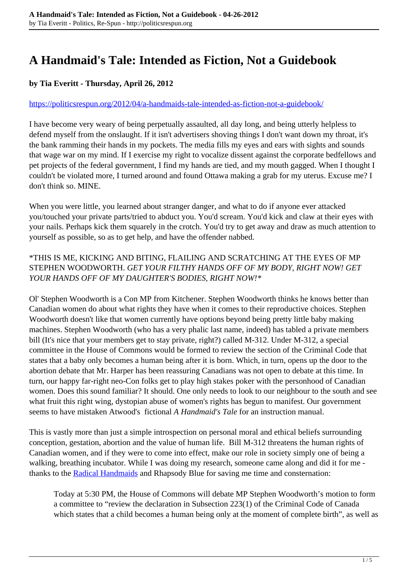## **A Handmaid's Tale: Intended as Fiction, Not a Guidebook**

## **by Tia Everitt - Thursday, April 26, 2012**

## <https://politicsrespun.org/2012/04/a-handmaids-tale-intended-as-fiction-not-a-guidebook/>

I have become very weary of being perpetually assaulted, all day long, and being utterly helpless to defend myself from the onslaught. If it isn't advertisers shoving things I don't want down my throat, it's the bank ramming their hands in my pockets. The media fills my eyes and ears with sights and sounds that wage war on my mind. If I exercise my right to vocalize dissent against the corporate bedfellows and pet projects of the federal government, I find my hands are tied, and my mouth gagged. When I thought I couldn't be violated more, I turned around and found Ottawa making a grab for my uterus. Excuse me? I don't think so. MINE.

When you were little, you learned about stranger danger, and what to do if anyone ever attacked you/touched your private parts/tried to abduct you. You'd scream. You'd kick and claw at their eyes with your nails. Perhaps kick them squarely in the crotch. You'd try to get away and draw as much attention to yourself as possible, so as to get help, and have the offender nabbed.

## \*THIS IS ME, KICKING AND BITING, FLAILING AND SCRATCHING AT THE EYES OF MP STEPHEN WOODWORTH. *GET YOUR FILTHY HANDS OFF OF MY BODY, RIGHT NOW! GET YOUR HANDS OFF OF MY DAUGHTER'S BODIES, RIGHT NOW!\**

Ol' Stephen Woodworth is a Con MP from Kitchener. Stephen Woodworth thinks he knows better than Canadian women do about what rights they have when it comes to their reproductive choices. Stephen Woodworth doesn't like that women currently have options beyond being pretty little baby making machines. Stephen Woodworth (who has a very phalic last name, indeed) has tabled a private members bill (It's nice that your members get to stay private, right?) called M-312. Under M-312, a special committee in the House of Commons would be formed to review the section of the Criminal Code that states that a baby only becomes a human being after it is born. Which, in turn, opens up the door to the abortion debate that Mr. Harper has been reassuring Canadians was not open to debate at this time. In turn, our happy far-right neo-Con folks get to play high stakes poker with the personhood of Canadian women. Does this sound familiar? It should. One only needs to look to our neighbour to the south and see what fruit this right wing, dystopian abuse of women's rights has begun to manifest. Our government seems to have mistaken Atwood's fictional *A Handmaid's Tale* for an instruction manual.

This is vastly more than just a simple introspection on personal moral and ethical beliefs surrounding conception, gestation, abortion and the value of human life. Bill M-312 threatens the human rights of Canadian women, and if they were to come into effect, make our role in society simply one of being a walking, breathing incubator. While I was doing my research, someone came along and did it for me thanks to the **[Radical Handmaids](http://radicalhandmaids.com/)** and Rhapsody Blue for saving me time and consternation:

Today at 5:30 PM, the House of Commons will debate MP Stephen Woodworth's motion to form a committee to "review the declaration in Subsection 223(1) of the Criminal Code of Canada which states that a child becomes a human being only at the moment of complete birth", as well as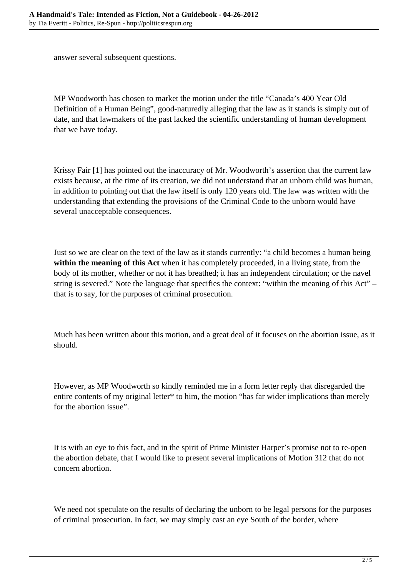answer several subsequent questions.

MP Woodworth has chosen to market the motion under the title "Canada's 400 Year Old Definition of a Human Being", good-naturedly alleging that the law as it stands is simply out of date, and that lawmakers of the past lacked the scientific understanding of human development that we have today.

Krissy Fair [1] has pointed out the inaccuracy of Mr. Woodworth's assertion that the current law exists because, at the time of its creation, we did not understand that an unborn child was human, in addition to pointing out that the law itself is only 120 years old. The law was written with the understanding that extending the provisions of the Criminal Code to the unborn would have several unacceptable consequences.

Just so we are clear on the text of the law as it stands currently: "a child becomes a human being **within the meaning of this Act** when it has completely proceeded, in a living state, from the body of its mother, whether or not it has breathed; it has an independent circulation; or the navel string is severed." Note the language that specifies the context: "within the meaning of this Act" – that is to say, for the purposes of criminal prosecution.

Much has been written about this motion, and a great deal of it focuses on the abortion issue, as it should.

However, as MP Woodworth so kindly reminded me in a form letter reply that disregarded the entire contents of my original letter\* to him, the motion "has far wider implications than merely for the abortion issue".

It is with an eye to this fact, and in the spirit of Prime Minister Harper's promise not to re-open the abortion debate, that I would like to present several implications of Motion 312 that do not concern abortion.

We need not speculate on the results of declaring the unborn to be legal persons for the purposes of criminal prosecution. In fact, we may simply cast an eye South of the border, where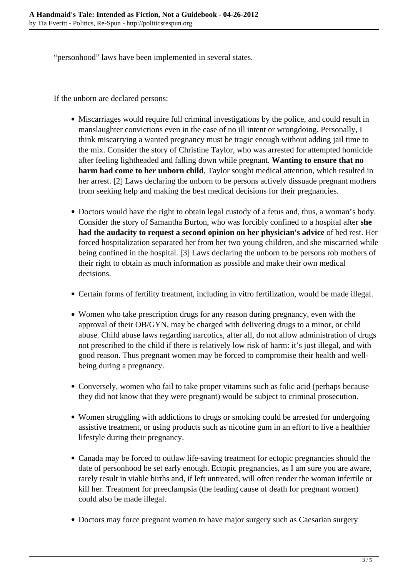"personhood" laws have been implemented in several states.

If the unborn are declared persons:

- Miscarriages would require full criminal investigations by the police, and could result in manslaughter convictions even in the case of no ill intent or wrongdoing. Personally, I think miscarrying a wanted pregnancy must be tragic enough without adding jail time to the mix. Consider the story of Christine Taylor, who was arrested for attempted homicide after feeling lightheaded and falling down while pregnant. **Wanting to ensure that no harm had come to her unborn child**, Taylor sought medical attention, which resulted in her arrest. [2] Laws declaring the unborn to be persons actively dissuade pregnant mothers from seeking help and making the best medical decisions for their pregnancies.
- Doctors would have the right to obtain legal custody of a fetus and, thus, a woman's body. Consider the story of Samantha Burton, who was forcibly confined to a hospital after **she had the audacity to request a second opinion on her physician's advice** of bed rest. Her forced hospitalization separated her from her two young children, and she miscarried while being confined in the hospital. [3] Laws declaring the unborn to be persons rob mothers of their right to obtain as much information as possible and make their own medical decisions.
- Certain forms of fertility treatment, including in vitro fertilization, would be made illegal.
- Women who take prescription drugs for any reason during pregnancy, even with the approval of their OB/GYN, may be charged with delivering drugs to a minor, or child abuse. Child abuse laws regarding narcotics, after all, do not allow administration of drugs not prescribed to the child if there is relatively low risk of harm: it's just illegal, and with good reason. Thus pregnant women may be forced to compromise their health and wellbeing during a pregnancy.
- Conversely, women who fail to take proper vitamins such as folic acid (perhaps because they did not know that they were pregnant) would be subject to criminal prosecution.
- Women struggling with addictions to drugs or smoking could be arrested for undergoing assistive treatment, or using products such as nicotine gum in an effort to live a healthier lifestyle during their pregnancy.
- Canada may be forced to outlaw life-saving treatment for ectopic pregnancies should the date of personhood be set early enough. Ectopic pregnancies, as I am sure you are aware, rarely result in viable births and, if left untreated, will often render the woman infertile or kill her. Treatment for preeclampsia (the leading cause of death for pregnant women) could also be made illegal.
- Doctors may force pregnant women to have major surgery such as Caesarian surgery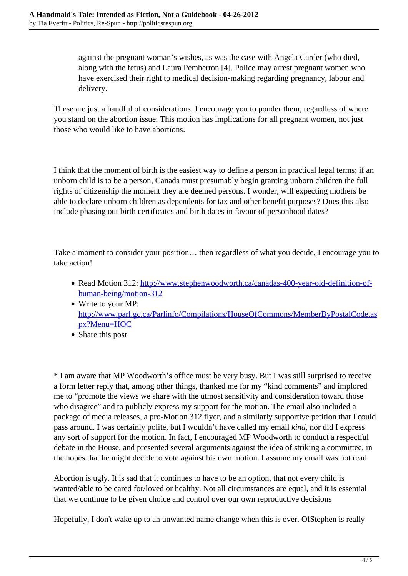against the pregnant woman's wishes, as was the case with Angela Carder (who died, along with the fetus) and Laura Pemberton [4]. Police may arrest pregnant women who have exercised their right to medical decision-making regarding pregnancy, labour and delivery.

These are just a handful of considerations. I encourage you to ponder them, regardless of where you stand on the abortion issue. This motion has implications for all pregnant women, not just those who would like to have abortions.

I think that the moment of birth is the easiest way to define a person in practical legal terms; if an unborn child is to be a person, Canada must presumably begin granting unborn children the full rights of citizenship the moment they are deemed persons. I wonder, will expecting mothers be able to declare unborn children as dependents for tax and other benefit purposes? Does this also include phasing out birth certificates and birth dates in favour of personhood dates?

Take a moment to consider your position… then regardless of what you decide, I encourage you to take action!

- Read Motion 312: [http://www.stephenwoodworth.ca/canadas-400-year-old-definition-of](http://www.stephenwoodworth.ca/canadas-400-year-old-definition-of-human-being/motion-312)[human-being/motion-312](http://www.stephenwoodworth.ca/canadas-400-year-old-definition-of-human-being/motion-312)
- Write to your MP: [http://www.parl.gc.ca/Parlinfo/Compilations/HouseOfCommons/MemberByPostalCode.as](http://www.parl.gc.ca/Parlinfo/Compilations/HouseOfCommons/MemberByPostalCode.aspx?Menu=HOC) [px?Menu=HOC](http://www.parl.gc.ca/Parlinfo/Compilations/HouseOfCommons/MemberByPostalCode.aspx?Menu=HOC)
- Share this post

\* I am aware that MP Woodworth's office must be very busy. But I was still surprised to receive a form letter reply that, among other things, thanked me for my "kind comments" and implored me to "promote the views we share with the utmost sensitivity and consideration toward those who disagree" and to publicly express my support for the motion. The email also included a package of media releases, a pro-Motion 312 flyer, and a similarly supportive petition that I could pass around. I was certainly polite, but I wouldn't have called my email *kind*, nor did I express any sort of support for the motion. In fact, I encouraged MP Woodworth to conduct a respectful debate in the House, and presented several arguments against the idea of striking a committee, in the hopes that he might decide to vote against his own motion. I assume my email was not read.

Abortion is ugly. It is sad that it continues to have to be an option, that not every child is wanted/able to be cared for/loved or healthy. Not all circumstances are equal, and it is essential that we continue to be given choice and control over our own reproductive decisions

Hopefully, I don't wake up to an unwanted name change when this is over. OfStephen is really